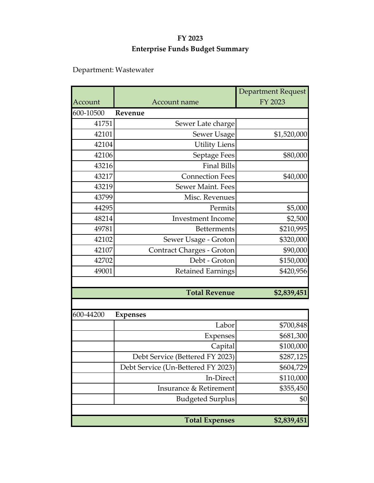# Department: Wastewater

|           |                                    | <b>Department Request</b> |  |  |  |
|-----------|------------------------------------|---------------------------|--|--|--|
| Account   | Account name                       | FY 2023                   |  |  |  |
| 600-10500 | Revenue                            |                           |  |  |  |
| 41751     | Sewer Late charge                  |                           |  |  |  |
| 42101     | Sewer Usage                        | \$1,520,000               |  |  |  |
| 42104     | <b>Utility Liens</b>               |                           |  |  |  |
| 42106     | Septage Fees                       | \$80,000                  |  |  |  |
| 43216     | <b>Final Bills</b>                 |                           |  |  |  |
| 43217     | <b>Connection Fees</b>             | \$40,000                  |  |  |  |
| 43219     | Sewer Maint. Fees                  |                           |  |  |  |
| 43799     | Misc. Revenues                     |                           |  |  |  |
| 44295     | Permits                            | \$5,000                   |  |  |  |
| 48214     | <b>Investment</b> Income           | \$2,500                   |  |  |  |
| 49781     | <b>Betterments</b>                 | \$210,995                 |  |  |  |
| 42102     | Sewer Usage - Groton               | \$320,000                 |  |  |  |
| 42107     | Contract Charges - Groton          | \$90,000                  |  |  |  |
| 42702     | Debt - Groton                      | \$150,000                 |  |  |  |
| 49001     | <b>Retained Earnings</b>           | \$420,956                 |  |  |  |
|           |                                    |                           |  |  |  |
|           | <b>Total Revenue</b>               | \$2,839,451               |  |  |  |
|           |                                    |                           |  |  |  |
| 600-44200 | <b>Expenses</b>                    |                           |  |  |  |
|           | Labor                              | \$700,848                 |  |  |  |
|           | <b>Expenses</b>                    | \$681,300                 |  |  |  |
|           | Capital                            | \$100,000                 |  |  |  |
|           | Debt Service (Bettered FY 2023)    | \$287,125                 |  |  |  |
|           | Debt Service (Un-Bettered FY 2023) | \$604,729                 |  |  |  |
|           | In-Direct                          | \$110,000                 |  |  |  |
|           | Insurance & Retirement             | \$355,450                 |  |  |  |
|           | <b>Budgeted Surplus</b>            | \$0                       |  |  |  |
|           |                                    |                           |  |  |  |
|           | <b>Total Expenses</b>              | \$2,839,451               |  |  |  |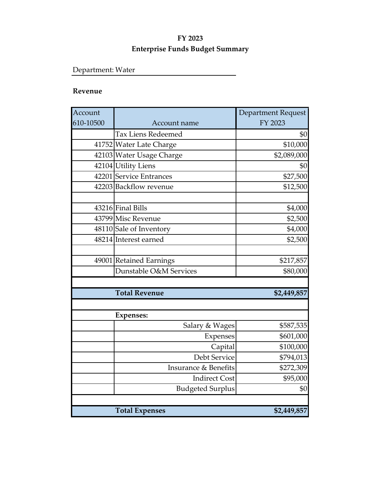# Department: Water

### **Revenue**

| Account   |                                 | Department Request |
|-----------|---------------------------------|--------------------|
| 610-10500 | Account name                    | FY 2023            |
|           | <b>Tax Liens Redeemed</b>       | \$0                |
|           | 41752 Water Late Charge         | \$10,000           |
|           | 42103 Water Usage Charge        | \$2,089,000        |
|           | 42104 Utility Liens             | \$0                |
|           | 42201 Service Entrances         | \$27,500           |
|           | 42203 Backflow revenue          | \$12,500           |
|           |                                 |                    |
|           | 43216 Final Bills               | \$4,000            |
|           | 43799 Misc Revenue              | \$2,500            |
|           | 48110 Sale of Inventory         | \$4,000            |
|           | 48214 Interest earned           | \$2,500            |
|           |                                 |                    |
|           | 49001 Retained Earnings         | \$217,857          |
|           | Dunstable O&M Services          | \$80,000           |
|           |                                 |                    |
|           | <b>Total Revenue</b>            | \$2,449,857        |
|           |                                 |                    |
|           | <b>Expenses:</b>                |                    |
|           | Salary & Wages                  | \$587,535          |
|           | Expenses                        | \$601,000          |
|           | Capital                         | \$100,000          |
|           | Debt Service                    | \$794,013          |
|           | <b>Insurance &amp; Benefits</b> | \$272,309          |
|           | <b>Indirect Cost</b>            | \$95,000           |
|           | <b>Budgeted Surplus</b>         | \$0                |
|           |                                 |                    |
|           | <b>Total Expenses</b>           | \$2,449,857        |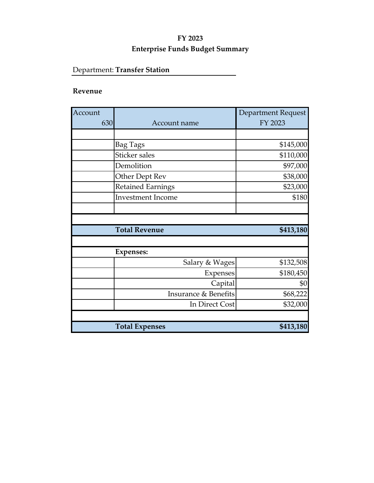# Department: **Transfer Station**

### **Revenue**

| Account<br>630 | Account name                    | Department Request<br>FY 2023 |
|----------------|---------------------------------|-------------------------------|
|                |                                 |                               |
|                | Bag Tags                        | \$145,000                     |
|                | Sticker sales                   | \$110,000                     |
|                | Demolition                      | \$97,000                      |
|                | Other Dept Rev                  | \$38,000                      |
|                | <b>Retained Earnings</b>        | \$23,000                      |
|                | <b>Investment Income</b>        | \$180                         |
|                |                                 |                               |
|                |                                 |                               |
|                | <b>Total Revenue</b>            | \$413,180                     |
|                |                                 |                               |
|                | <b>Expenses:</b>                |                               |
|                | Salary & Wages                  | \$132,508                     |
|                | Expenses                        | \$180,450                     |
|                | Capital                         | \$0                           |
|                | <b>Insurance &amp; Benefits</b> | \$68,222                      |
|                | In Direct Cost                  | \$32,000                      |
|                |                                 |                               |
|                | <b>Total Expenses</b>           | \$413,180                     |